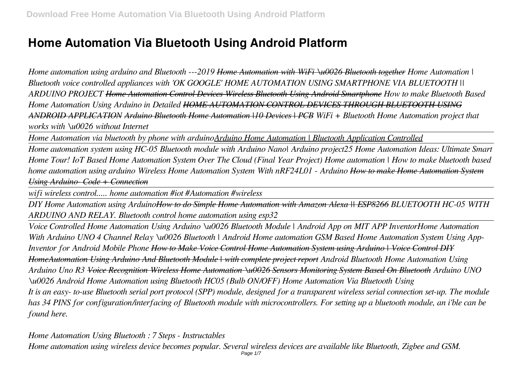# **Home Automation Via Bluetooth Using Android Platform**

*Home automation using arduino and Bluetooth ---2019 Home Automation with WiFi \u0026 Bluetooth together Home Automation | Bluetooth voice controlled appliances with 'OK GOOGLE' HOME AUTOMATION USING SMARTPHONE VIA BLUETOOTH || ARDUINO PROJECT Home Automation Control Devices Wireless Bluetooth Using Android Smartphone How to make Bluetooth Based Home Automation Using Arduino in Detailed HOME AUTOMATION CONTROL DEVICES THROUGH BLUETOOTH USING ANDROID APPLICATION Arduino Bluetooth Home Automation |10 Devices | PCB WiFi + Bluetooth Home Automation project that works with \u0026 without Internet*

*Home Automation via bluetooth by phone with arduino Arduino Home Automation | Bluetooth Application Controlled* 

*Home automation system using HC-05 Bluetooth module with Arduino Nano| Arduino project25 Home Automation Ideas: Ultimate Smart Home Tour! IoT Based Home Automation System Over The Cloud (Final Year Project) Home automation | How to make bluetooth based home automation using arduino Wireless Home Automation System With nRF24L01 - Arduino How to make Home Automation System Using Arduino- Code + Connection*

*wifi wireless control..... home automation #iot #Automation #wireless*

*DIY Home Automation using ArduinoHow to do Simple Home Automation with Amazon Alexa || ESP8266 BLUETOOTH HC-05 WITH ARDUINO AND RELAY. Bluetooth control home automation using esp32*

*Voice Controlled Home Automation Using Arduino \u0026 Bluetooth Module | Android App on MIT APP InventorHome Automation With Arduino UNO 4 Channel Relay \u0026 Bluetooth | Android Home automation GSM Based Home Automation System Using App-Inventor for Android Mobile Phone How to Make Voice Control Home Automation System using Arduino | Voice Control DIY HomeAutomation Using Arduino And Bluetooth Module | with complete project report Android Bluetooth Home Automation Using Arduino Uno R3 Voice Recognition Wireless Home Automation \u0026 Sensors Monitoring System Based On Bluetooth Arduino UNO \u0026 Android Home Automation using Bluetooth HC05 (Bulb ON/OFF) Home Automation Via Bluetooth Using It is an easy- to-use Bluetooth serial port protocol (SPP) module, designed for a transparent wireless serial connection set-up. The module has 34 PINS for configuration/interfacing of Bluetooth module with microcontrollers. For setting up a bluetooth module, an i'ble can be found here.*

*Home Automation Using Bluetooth : 7 Steps - Instructables Home automation using wireless device becomes popular. Several wireless devices are available like Bluetooth, Zigbee and GSM.* Page  $1/7$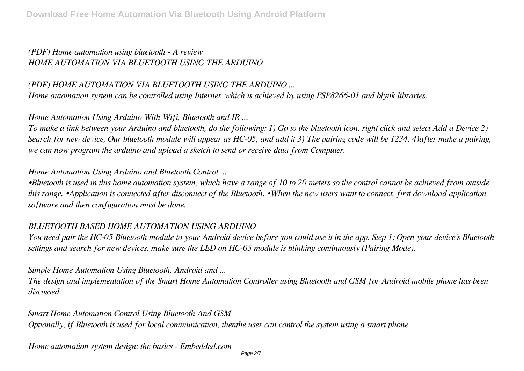# *(PDF) Home automation using bluetooth - A review HOME AUTOMATION VIA BLUETOOTH USING THE ARDUINO*

## *(PDF) HOME AUTOMATION VIA BLUETOOTH USING THE ARDUINO ...*

*Home automation system can be controlled using Internet, which is achieved by using ESP8266-01 and blynk libraries.*

## *Home Automation Using Arduino With Wifi, Bluetooth and IR ...*

*To make a link between your Arduino and bluetooth, do the following: 1) Go to the bluetooth icon, right click and select Add a Device 2) Search for new device, Our bluetooth module will appear as HC-05, and add it 3) The pairing code will be 1234. 4)after make a pairing, we can now program the arduino and upload a sketch to send or receive data from Computer.*

#### *Home Automation Using Arduino and Bluetooth Control ...*

*•Bluetooth is used in this home automation system, which have a range of 10 to 20 meters so the control cannot be achieved from outside this range. •Application is connected after disconnect of the Bluetooth. •When the new users want to connect, first download application software and then configuration must be done.*

#### *BLUETOOTH BASED HOME AUTOMATION USING ARDUINO*

*You need pair the HC-05 Bluetooth module to your Android device before you could use it in the app. Step 1: Open your device's Bluetooth settings and search for new devices, make sure the LED on HC-05 module is blinking continuously (Pairing Mode).*

#### *Simple Home Automation Using Bluetooth, Android and ...*

*The design and implementation of the Smart Home Automation Controller using Bluetooth and GSM for Android mobile phone has been discussed.*

#### *Smart Home Automation Control Using Bluetooth And GSM*

*Optionally, if Bluetooth is used for local communication, thenthe user can control the system using a smart phone.*

*Home automation system design: the basics - Embedded.com*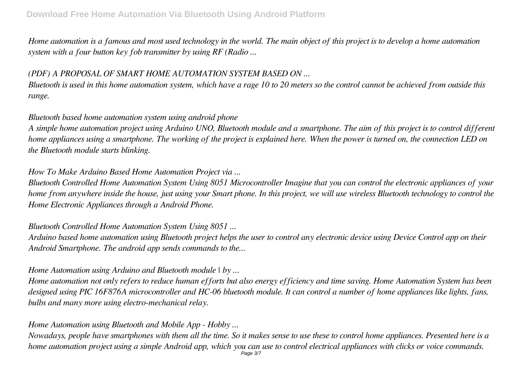*Home automation is a famous and most used technology in the world. The main object of this project is to develop a home automation system with a four button key fob transmitter by using RF (Radio ...*

# *(PDF) A PROPOSAL OF SMART HOME AUTOMATION SYSTEM BASED ON ...*

*Bluetooth is used in this home automation system, which have a rage 10 to 20 meters so the control cannot be achieved from outside this range.*

## *Bluetooth based home automation system using android phone*

*A simple home automation project using Arduino UNO, Bluetooth module and a smartphone. The aim of this project is to control different home appliances using a smartphone. The working of the project is explained here. When the power is turned on, the connection LED on the Bluetooth module starts blinking.*

## *How To Make Arduino Based Home Automation Project via ...*

*Bluetooth Controlled Home Automation System Using 8051 Microcontroller Imagine that you can control the electronic appliances of your home from anywhere inside the house, just using your Smart phone. In this project, we will use wireless Bluetooth technology to control the Home Electronic Appliances through a Android Phone.*

#### *Bluetooth Controlled Home Automation System Using 8051 ...*

*Arduino based home automation using Bluetooth project helps the user to control any electronic device using Device Control app on their Android Smartphone. The android app sends commands to the...*

## *Home Automation using Arduino and Bluetooth module | by ...*

*Home automation not only refers to reduce human efforts but also energy efficiency and time saving. Home Automation System has been designed using PIC 16F876A microcontroller and HC-06 bluetooth module. It can control a number of home appliances like lights, fans, bulbs and many more using electro-mechanical relay.*

## *Home Automation using Bluetooth and Mobile App - Hobby ...*

*Nowadays, people have smartphones with them all the time. So it makes sense to use these to control home appliances. Presented here is a home automation project using a simple Android app, which you can use to control electrical appliances with clicks or voice commands.* Page 3/7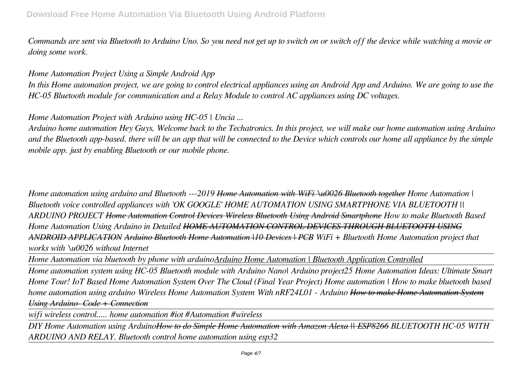*Commands are sent via Bluetooth to Arduino Uno. So you need not get up to switch on or switch off the device while watching a movie or doing some work.*

#### *Home Automation Project Using a Simple Android App*

*In this Home automation project, we are going to control electrical appliances using an Android App and Arduino. We are going to use the HC-05 Bluetooth module for communication and a Relay Module to control AC appliances using DC voltages.*

## *Home Automation Project with Arduino using HC-05 | Uncia ...*

*Arduino home automation Hey Guys, Welcome back to the Techatronics. In this project, we will make our home automation using Arduino and the Bluetooth app-based. there will be an app that will be connected to the Device which controls our home all appliance by the simple mobile app. just by enabling Bluetooth or our mobile phone.*

*Home automation using arduino and Bluetooth ---2019 Home Automation with WiFi \u0026 Bluetooth together Home Automation | Bluetooth voice controlled appliances with 'OK GOOGLE' HOME AUTOMATION USING SMARTPHONE VIA BLUETOOTH || ARDUINO PROJECT Home Automation Control Devices Wireless Bluetooth Using Android Smartphone How to make Bluetooth Based Home Automation Using Arduino in Detailed HOME AUTOMATION CONTROL DEVICES THROUGH BLUETOOTH USING ANDROID APPLICATION Arduino Bluetooth Home Automation |10 Devices | PCB WiFi + Bluetooth Home Automation project that works with \u0026 without Internet*

*Home Automation via bluetooth by phone with arduinoArduino Home Automation | Bluetooth Application Controlled*

*Home automation system using HC-05 Bluetooth module with Arduino Nano| Arduino project25 Home Automation Ideas: Ultimate Smart Home Tour! IoT Based Home Automation System Over The Cloud (Final Year Project) Home automation | How to make bluetooth based home automation using arduino Wireless Home Automation System With nRF24L01 - Arduino How to make Home Automation System Using Arduino- Code + Connection*

*wifi wireless control..... home automation #iot #Automation #wireless*

*DIY Home Automation using ArduinoHow to do Simple Home Automation with Amazon Alexa || ESP8266 BLUETOOTH HC-05 WITH ARDUINO AND RELAY. Bluetooth control home automation using esp32*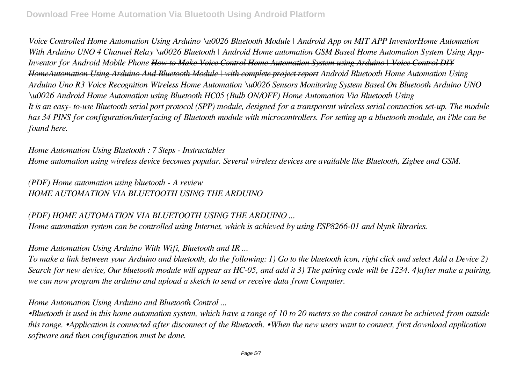*Voice Controlled Home Automation Using Arduino \u0026 Bluetooth Module | Android App on MIT APP InventorHome Automation With Arduino UNO 4 Channel Relay \u0026 Bluetooth | Android Home automation GSM Based Home Automation System Using App-Inventor for Android Mobile Phone How to Make Voice Control Home Automation System using Arduino | Voice Control DIY HomeAutomation Using Arduino And Bluetooth Module | with complete project report Android Bluetooth Home Automation Using Arduino Uno R3 Voice Recognition Wireless Home Automation \u0026 Sensors Monitoring System Based On Bluetooth Arduino UNO \u0026 Android Home Automation using Bluetooth HC05 (Bulb ON/OFF) Home Automation Via Bluetooth Using It is an easy- to-use Bluetooth serial port protocol (SPP) module, designed for a transparent wireless serial connection set-up. The module has 34 PINS for configuration/interfacing of Bluetooth module with microcontrollers. For setting up a bluetooth module, an i'ble can be found here.*

*Home Automation Using Bluetooth : 7 Steps - Instructables Home automation using wireless device becomes popular. Several wireless devices are available like Bluetooth, Zigbee and GSM.*

*(PDF) Home automation using bluetooth - A review HOME AUTOMATION VIA BLUETOOTH USING THE ARDUINO*

#### *(PDF) HOME AUTOMATION VIA BLUETOOTH USING THE ARDUINO ...*

*Home automation system can be controlled using Internet, which is achieved by using ESP8266-01 and blynk libraries.*

#### *Home Automation Using Arduino With Wifi, Bluetooth and IR ...*

*To make a link between your Arduino and bluetooth, do the following: 1) Go to the bluetooth icon, right click and select Add a Device 2) Search for new device, Our bluetooth module will appear as HC-05, and add it 3) The pairing code will be 1234. 4)after make a pairing, we can now program the arduino and upload a sketch to send or receive data from Computer.*

#### *Home Automation Using Arduino and Bluetooth Control ...*

*•Bluetooth is used in this home automation system, which have a range of 10 to 20 meters so the control cannot be achieved from outside this range. •Application is connected after disconnect of the Bluetooth. •When the new users want to connect, first download application software and then configuration must be done.*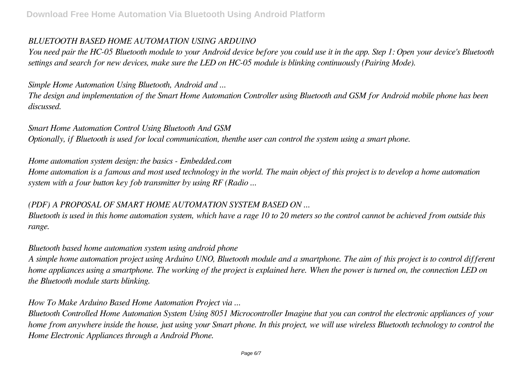#### *BLUETOOTH BASED HOME AUTOMATION USING ARDUINO*

*You need pair the HC-05 Bluetooth module to your Android device before you could use it in the app. Step 1: Open your device's Bluetooth settings and search for new devices, make sure the LED on HC-05 module is blinking continuously (Pairing Mode).*

*Simple Home Automation Using Bluetooth, Android and ...*

*The design and implementation of the Smart Home Automation Controller using Bluetooth and GSM for Android mobile phone has been discussed.*

#### *Smart Home Automation Control Using Bluetooth And GSM*

*Optionally, if Bluetooth is used for local communication, thenthe user can control the system using a smart phone.*

*Home automation system design: the basics - Embedded.com*

*Home automation is a famous and most used technology in the world. The main object of this project is to develop a home automation system with a four button key fob transmitter by using RF (Radio ...*

#### *(PDF) A PROPOSAL OF SMART HOME AUTOMATION SYSTEM BASED ON ...*

*Bluetooth is used in this home automation system, which have a rage 10 to 20 meters so the control cannot be achieved from outside this range.*

#### *Bluetooth based home automation system using android phone*

*A simple home automation project using Arduino UNO, Bluetooth module and a smartphone. The aim of this project is to control different home appliances using a smartphone. The working of the project is explained here. When the power is turned on, the connection LED on the Bluetooth module starts blinking.*

#### *How To Make Arduino Based Home Automation Project via ...*

*Bluetooth Controlled Home Automation System Using 8051 Microcontroller Imagine that you can control the electronic appliances of your home from anywhere inside the house, just using your Smart phone. In this project, we will use wireless Bluetooth technology to control the Home Electronic Appliances through a Android Phone.*